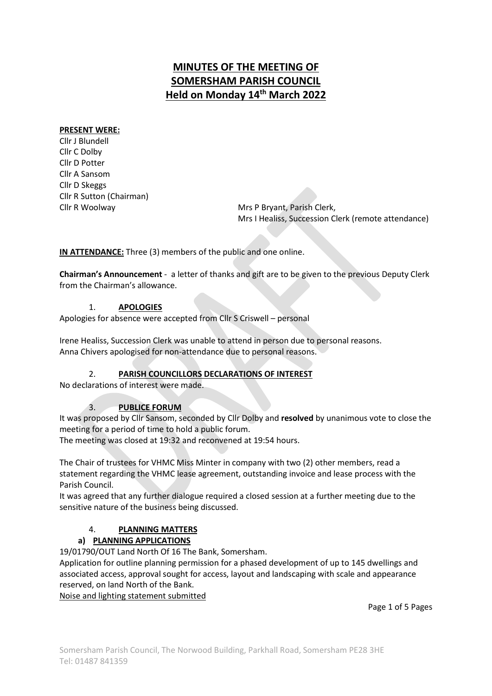# MINUTES OF THE MEETING OF SOMERSHAM PARISH COUNCIL Held on Monday 14<sup>th</sup> March 2022

### PRESENT WERE:

Cllr J Blundell Cllr C Dolby Cllr D Potter Cllr A Sansom Cllr D Skeggs Cllr R Sutton (Chairman)

Cllr R Woolway **Mrs P Bryant, Parish Clerk**, Mrs I Healiss, Succession Clerk (remote attendance)

IN ATTENDANCE: Three (3) members of the public and one online.

Chairman's Announcement - a letter of thanks and gift are to be given to the previous Deputy Clerk from the Chairman's allowance.

### 1. APOLOGIES

Apologies for absence were accepted from Cllr S Criswell – personal

Irene Healiss, Succession Clerk was unable to attend in person due to personal reasons. Anna Chivers apologised for non-attendance due to personal reasons.

# 2. PARISH COUNCILLORS DECLARATIONS OF INTEREST

No declarations of interest were made.

### 3. PUBLICE FORUM

It was proposed by Cllr Sansom, seconded by Cllr Dolby and resolved by unanimous vote to close the meeting for a period of time to hold a public forum.

The meeting was closed at 19:32 and reconvened at 19:54 hours.

The Chair of trustees for VHMC Miss Minter in company with two (2) other members, read a statement regarding the VHMC lease agreement, outstanding invoice and lease process with the Parish Council.

It was agreed that any further dialogue required a closed session at a further meeting due to the sensitive nature of the business being discussed.

# 4. PLANNING MATTERS

# a) PLANNING APPLICATIONS

19/01790/OUT Land North Of 16 The Bank, Somersham.

Application for outline planning permission for a phased development of up to 145 dwellings and associated access, approval sought for access, layout and landscaping with scale and appearance reserved, on land North of the Bank.

Noise and lighting statement submitted

Page 1 of 5 Pages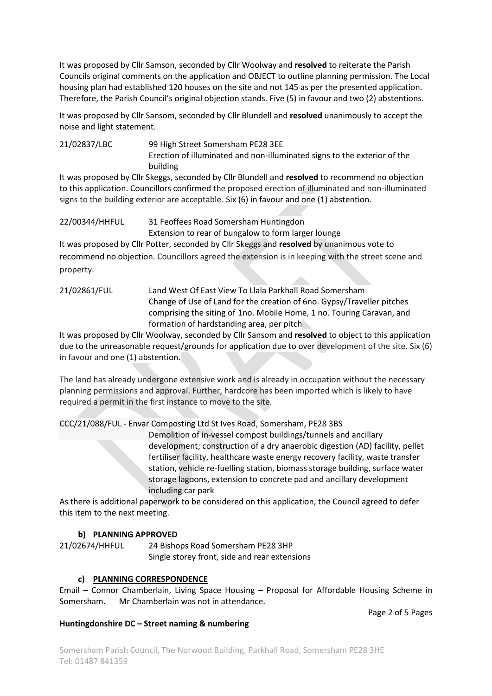It was proposed by Cllr Samson, seconded by Cllr Woolway and resolved to reiterate the Parish Councils original comments on the application and OBJECT to outline planning permission. The Local housing plan had established 120 houses on the site and not 145 as per the presented application. Therefore, the Parish Council's original objection stands. Five (5) in favour and two (2) abstentions.

It was proposed by Cllr Sansom, seconded by Cllr Blundell and resolved unanimously to accept the noise and light statement.

21/02837/LBC 99 High Street Somersham PE28 3EE Erection of illuminated and non-illuminated signs to the exterior of the building

It was proposed by Cllr Skeggs, seconded by Cllr Blundell and resolved to recommend no objection to this application. Councillors confirmed the proposed erection of illuminated and non-illuminated signs to the building exterior are acceptable. Six (6) in favour and one (1) abstention.

22/00344/HHFUL 31 Feoffees Road Somersham Huntingdon Extension to rear of bungalow to form larger lounge

It was proposed by Cllr Potter, seconded by Cllr Skeggs and resolved by unanimous vote to recommend no objection. Councillors agreed the extension is in keeping with the street scene and property.

### 21/02861/FUL Land West Of East View To Llala Parkhall Road Somersham Change of Use of Land for the creation of 6no. Gypsy/Traveller pitches comprising the siting of 1no. Mobile Home, 1 no. Touring Caravan, and formation of hardstanding area, per pitch

It was proposed by Cllr Woolway, seconded by Cllr Sansom and resolved to object to this application due to the unreasonable request/grounds for application due to over development of the site. Six (6) in favour and one (1) abstention.

The land has already undergone extensive work and is already in occupation without the necessary planning permissions and approval. Further, hardcore has been imported which is likely to have required a permit in the first instance to move to the site.

CCC/21/088/FUL - Envar Composting Ltd St Ives Road, Somersham, PE28 3BS

 Demolition of in-vessel compost buildings/tunnels and ancillary development; construction of a dry anaerobic digestion (AD) facility, pellet fertiliser facility, healthcare waste energy recovery facility, waste transfer station, vehicle re-fuelling station, biomass storage building, surface water storage lagoons, extension to concrete pad and ancillary development including car park

As there is additional paperwork to be considered on this application, the Council agreed to defer this item to the next meeting.

# b) PLANNING APPROVED

21/02674/HHFUL 24 Bishops Road Somersham PE28 3HP Single storey front, side and rear extensions

### c) PLANNING CORRESPONDENCE

Email – Connor Chamberlain, Living Space Housing – Proposal for Affordable Housing Scheme in Somersham. Mr Chamberlain was not in attendance.

Page 2 of 5 Pages

### Huntingdonshire DC – Street naming & numbering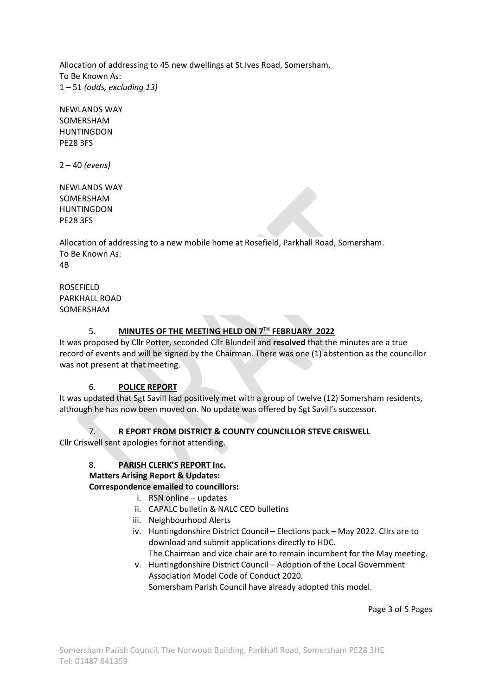Allocation of addressing to 45 new dwellings at St Ives Road, Somersham. To Be Known As:  $1 - 51$  (odds, excluding 13)

NEWLANDS WAY SOMERSHAM **HUNTINGDON** PE28 3FS

 $2 - 40$  (evens)

NEWLANDS WAY SOMERSHAM HUNTINGDON PE28 3FS

Allocation of addressing to a new mobile home at Rosefield, Parkhall Road, Somersham. To Be Known As: 4B

ROSEFIELD PARKHALL ROAD SOMERSHAM

# 5. MINUTES OF THE MEETING HELD ON 7TH FEBRUARY 2022

It was proposed by Cllr Potter, seconded Cllr Blundell and resolved that the minutes are a true record of events and will be signed by the Chairman. There was one (1) abstention as the councillor was not present at that meeting.

### 6. POLICE REPORT

It was updated that Sgt Savill had positively met with a group of twelve (12) Somersham residents, although he has now been moved on. No update was offered by Sgt Savill's successor.

7. R EPORT FROM DISTRICT & COUNTY COUNCILLOR STEVE CRISWELL

Cllr Criswell sent apologies for not attending.

### 8. PARISH CLERK'S REPORT Inc.

# Matters Arising Report & Updates:

Correspondence emailed to councillors:

- i. RSN online updates
- ii. CAPALC bulletin & NALC CEO bulletins
- iii. Neighbourhood Alerts
- iv. Huntingdonshire District Council Elections pack May 2022. Cllrs are to download and submit applications directly to HDC. The Chairman and vice chair are to remain incumbent for the May meeting.
- v. Huntingdonshire District Council Adoption of the Local Government Association Model Code of Conduct 2020.

Somersham Parish Council have already adopted this model.

Page 3 of 5 Pages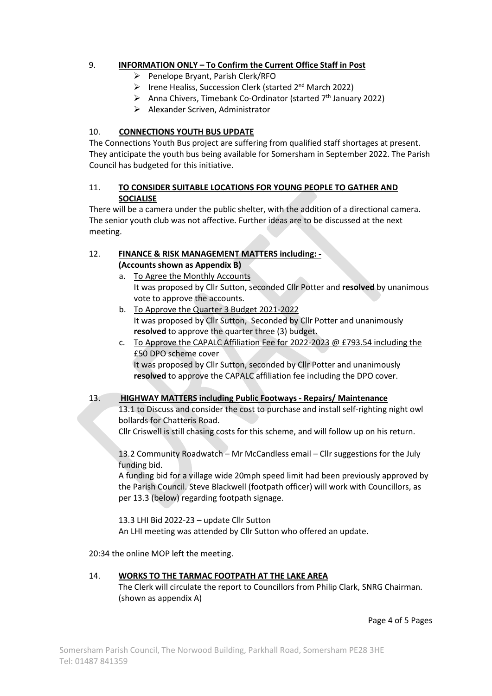# 9. INFORMATION ONLY – To Confirm the Current Office Staff in Post

- $\triangleright$  Penelope Bryant, Parish Clerk/RFO
- **Irene Healiss, Succession Clerk (started 2nd March 2022)**
- $\triangleright$  Anna Chivers, Timebank Co-Ordinator (started 7<sup>th</sup> January 2022)
- $\triangleright$  Alexander Scriven, Administrator

# 10. CONNECTIONS YOUTH BUS UPDATE

The Connections Youth Bus project are suffering from qualified staff shortages at present. They anticipate the youth bus being available for Somersham in September 2022. The Parish Council has budgeted for this initiative.

## 11. TO CONSIDER SUITABLE LOCATIONS FOR YOUNG PEOPLE TO GATHER AND SOCIALISE

There will be a camera under the public shelter, with the addition of a directional camera. The senior youth club was not affective. Further ideas are to be discussed at the next meeting.

### 12. FINANCE & RISK MANAGEMENT MATTERS including: - (Accounts shown as Appendix B)

- a. To Agree the Monthly Accounts It was proposed by Cllr Sutton, seconded Cllr Potter and resolved by unanimous vote to approve the accounts.
- b. To Approve the Quarter 3 Budget 2021-2022 It was proposed by Cllr Sutton, Seconded by Cllr Potter and unanimously resolved to approve the quarter three (3) budget.
- c. To Approve the CAPALC Affiliation Fee for 2022-2023 @ £793.54 including the £50 DPO scheme cover It was proposed by Cllr Sutton, seconded by Cllr Potter and unanimously resolved to approve the CAPALC affiliation fee including the DPO cover.

### 13. HIGHWAY MATTERS including Public Footways - Repairs/ Maintenance

13.1 to Discuss and consider the cost to purchase and install self-righting night owl bollards for Chatteris Road.

Cllr Criswell is still chasing costs for this scheme, and will follow up on his return.

13.2 Community Roadwatch – Mr McCandless email – Cllr suggestions for the July funding bid.

A funding bid for a village wide 20mph speed limit had been previously approved by the Parish Council. Steve Blackwell (footpath officer) will work with Councillors, as per 13.3 (below) regarding footpath signage.

13.3 LHI Bid 2022-23 – update Cllr Sutton An LHI meeting was attended by Cllr Sutton who offered an update.

20:34 the online MOP left the meeting.

### 14. WORKS TO THE TARMAC FOOTPATH AT THE LAKE AREA

The Clerk will circulate the report to Councillors from Philip Clark, SNRG Chairman. (shown as appendix A)

Page 4 of 5 Pages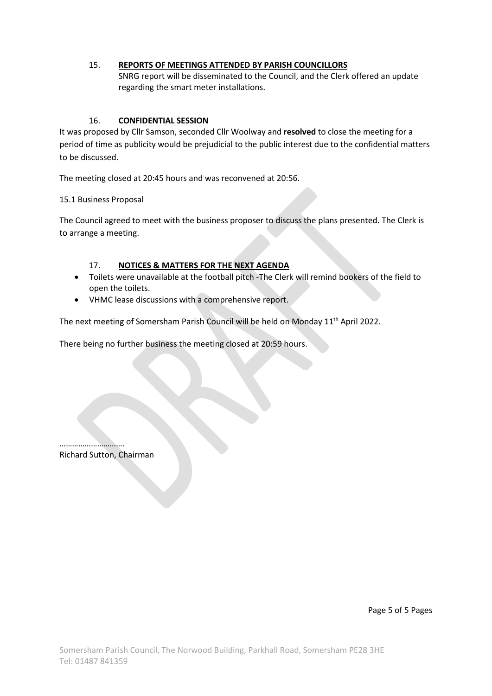### 15. REPORTS OF MEETINGS ATTENDED BY PARISH COUNCILLORS

SNRG report will be disseminated to the Council, and the Clerk offered an update regarding the smart meter installations.

### 16. CONFIDENTIAL SESSION

It was proposed by Cllr Samson, seconded Cllr Woolway and resolved to close the meeting for a period of time as publicity would be prejudicial to the public interest due to the confidential matters to be discussed.

The meeting closed at 20:45 hours and was reconvened at 20:56.

15.1 Business Proposal

The Council agreed to meet with the business proposer to discuss the plans presented. The Clerk is to arrange a meeting.

### 17. NOTICES & MATTERS FOR THE NEXT AGENDA

- Toilets were unavailable at the football pitch -The Clerk will remind bookers of the field to open the toilets.
- VHMC lease discussions with a comprehensive report.

The next meeting of Somersham Parish Council will be held on Monday 11<sup>th</sup> April 2022.

There being no further business the meeting closed at 20:59 hours.

…………………………. Richard Sutton, Chairman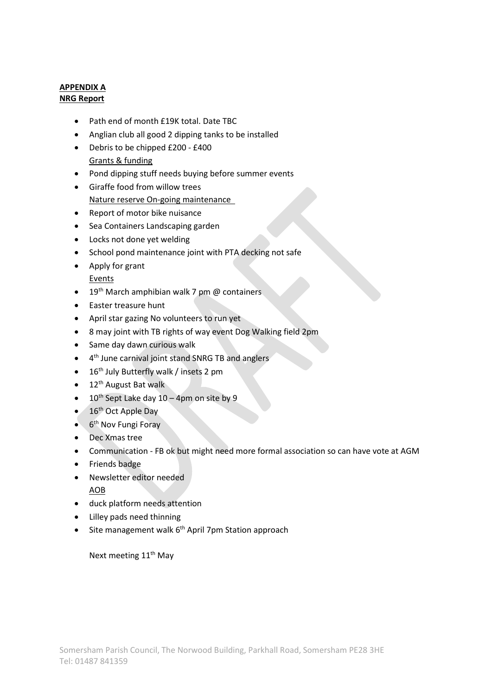### APPENDIX A NRG Report

- Path end of month £19K total. Date TBC
- Anglian club all good 2 dipping tanks to be installed
- Debris to be chipped £200 £400 Grants & funding
- Pond dipping stuff needs buying before summer events
- Giraffe food from willow trees Nature reserve On-going maintenance
- Report of motor bike nuisance
- Sea Containers Landscaping garden
- Locks not done yet welding
- School pond maintenance joint with PTA decking not safe
- Apply for grant Events
- $\bullet$  19<sup>th</sup> March amphibian walk 7 pm @ containers
- Easter treasure hunt
- April star gazing No volunteers to run yet
- 8 may joint with TB rights of way event Dog Walking field 2pm
- Same day dawn curious walk
- $\bullet$ 4<sup>th</sup> June carnival joint stand SNRG TB and anglers
- $\bullet$  16<sup>th</sup> July Butterfly walk / insets 2 pm
- $\bullet$  12<sup>th</sup> August Bat walk
- $\bullet$  10<sup>th</sup> Sept Lake day 10 4pm on site by 9
- $\bullet$  16<sup>th</sup> Oct Apple Day
- $\bullet$  6<sup>th</sup> Nov Fungi Foray
- Dec Xmas tree
- Communication FB ok but might need more formal association so can have vote at AGM
- Friends badge
- Newsletter editor needed
- AOB
- duck platform needs attention
- Lilley pads need thinning
- $\bullet$  Site management walk  $6<sup>th</sup>$  April 7pm Station approach

Next meeting 11<sup>th</sup> May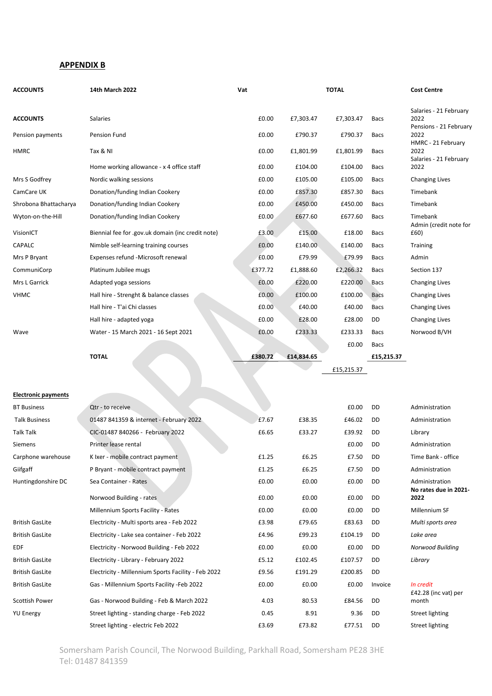#### APPENDIX B

| <b>ACCOUNTS</b>            | 14th March 2022                                     | Vat     |            | <b>TOTAL</b> |             | <b>Cost Centre</b>                                       |  |
|----------------------------|-----------------------------------------------------|---------|------------|--------------|-------------|----------------------------------------------------------|--|
| <b>ACCOUNTS</b>            | Salaries                                            | £0.00   | £7,303.47  | £7,303.47    | Bacs        | Salaries - 21 February<br>2022<br>Pensions - 21 February |  |
| Pension payments           | <b>Pension Fund</b>                                 | £0.00   | £790.37    | £790.37      | Bacs        | 2022                                                     |  |
| <b>HMRC</b>                | Tax & NI                                            | £0.00   | £1,801.99  | £1,801.99    | Bacs        | HMRC - 21 February<br>2022                               |  |
|                            | Home working allowance - x 4 office staff           | £0.00   | £104.00    | £104.00      | <b>Bacs</b> | Salaries - 21 February<br>2022                           |  |
| Mrs S Godfrey              | Nordic walking sessions                             | £0.00   | £105.00    | £105.00      | Bacs        | <b>Changing Lives</b>                                    |  |
| CamCare UK                 | Donation/funding Indian Cookery                     | £0.00   | £857.30    | £857.30      | Bacs        | Timebank                                                 |  |
| Shrobona Bhattacharya      | Donation/funding Indian Cookery                     | £0.00   | £450.00    | £450.00      | Bacs        | Timebank                                                 |  |
| Wyton-on-the-Hill          | Donation/funding Indian Cookery                     | £0.00   | £677.60    | £677.60      | <b>Bacs</b> | Timebank                                                 |  |
| VisionICT                  | Biennial fee for .gov.uk domain (inc credit note)   | £3.00   | £15.00     | £18.00       | Bacs        | Admin (credit note for<br>£60)                           |  |
| CAPALC                     | Nimble self-learning training courses               | £0.00   | £140.00    | £140.00      | Bacs        | Training                                                 |  |
| Mrs P Bryant               | Expenses refund -Microsoft renewal                  | £0.00   | £79.99     | £79.99       | Bacs        | Admin                                                    |  |
| CommuniCorp                | Platinum Jubilee mugs                               | £377.72 | £1,888.60  | £2,266.32    | Bacs        | Section 137                                              |  |
| Mrs L Garrick              | Adapted yoga sessions                               | £0.00   | £220.00    | £220.00      | Bacs        | <b>Changing Lives</b>                                    |  |
| <b>VHMC</b>                | Hall hire - Strenght & balance classes              | £0.00   | £100.00    | £100.00      | <b>Bacs</b> | <b>Changing Lives</b>                                    |  |
|                            | Hall hire - T'ai Chi classes                        | £0.00   | £40.00     | £40.00       | <b>Bacs</b> | <b>Changing Lives</b>                                    |  |
|                            | Hall hire - adapted yoga                            | £0.00   | £28.00     | £28.00       | DD          | <b>Changing Lives</b>                                    |  |
| Wave                       | Water - 15 March 2021 - 16 Sept 2021                | £0.00   | £233.33    | £233.33      | Bacs        | Norwood B/VH                                             |  |
|                            |                                                     |         |            | £0.00        | Bacs        |                                                          |  |
|                            | <b>TOTAL</b>                                        | £380.72 | £14,834.65 |              | £15,215.37  |                                                          |  |
|                            |                                                     |         |            | £15,215.37   |             |                                                          |  |
|                            |                                                     |         |            |              |             |                                                          |  |
| <b>Electronic payments</b> |                                                     |         |            |              |             |                                                          |  |
| <b>BT Business</b>         | Qtr - to receive                                    |         |            | £0.00        | DD          | Administration                                           |  |
| <b>Talk Business</b>       | 01487 841359 & internet - February 2022             | £7.67   | £38.35     | £46.02       | DD          | Administration                                           |  |
| <b>Talk Talk</b>           | CIC-01487 840266 - February 2022                    | £6.65   | £33.27     | £39.92       | DD          | Library                                                  |  |
| Siemens                    | Printer lease rental                                |         |            | £0.00        | DD          | Administration                                           |  |
| Carphone warehouse         | K Ixer - mobile contract payment                    | £1.25   | £6.25      | £7.50        | DD          | Time Bank - office                                       |  |
| Giifgaff                   | P Bryant - mobile contract payment                  | £1.25   | £6.25      | £7.50        | DD          | Administration                                           |  |
| Huntingdonshire DC         | Sea Container - Rates                               | £0.00   | £0.00      | £0.00        | DD          | Administration<br>No rates due in 2021-                  |  |
|                            | Norwood Building - rates                            | £0.00   | £0.00      | £0.00        | DD          | 2022                                                     |  |
|                            | Millennium Sports Facility - Rates                  | £0.00   | £0.00      | £0.00        | DD          | Millennium SF                                            |  |
| <b>British GasLite</b>     | Electricity - Multi sports area - Feb 2022          | £3.98   | £79.65     | £83.63       | DD          | Multi sports area                                        |  |
| <b>British GasLite</b>     | Electricity - Lake sea container - Feb 2022         | £4.96   | £99.23     | £104.19      | DD          | Lake area                                                |  |
| EDF                        | Electricity - Norwood Building - Feb 2022           | £0.00   | £0.00      | £0.00        | DD          | Norwood Building                                         |  |
| <b>British GasLite</b>     | Electricity - Library - February 2022               | £5.12   | £102.45    | £107.57      | DD          | Library                                                  |  |
| <b>British GasLite</b>     |                                                     |         |            |              |             |                                                          |  |
|                            | Electricity - Millennium Sports Facility - Feb 2022 | £9.56   | £191.29    | £200.85      | DD          |                                                          |  |
| <b>British GasLite</b>     | Gas - Millennium Sports Facility - Feb 2022         | £0.00   | £0.00      | £0.00        | Invoice     | In credit<br>£42.28 (inc vat) per                        |  |

Somersham Parish Council, The Norwood Building, Parkhall Road, Somersham PE28 3HE Tel: 01487 841359

YU Energy Street lighting - standing charge - Feb 2022 0.45 8.91 9.36 DD Street lighting

Street lighting - electric Feb 2022 **EXALL EXALG EXALG EXALG EXALG EXALG EXALG EXALG EXALG EXALG EXALG EXALG EXA**